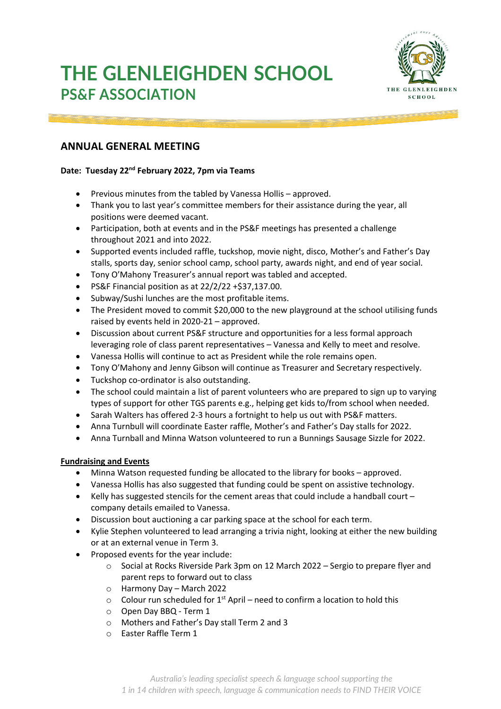# **THE GLENLEIGHDEN SCHOOL PS&F ASSOCIATION**



## **ANNUAL GENERAL MEETING**

#### **Date: Tuesday 22nd February 2022, 7pm via Teams**

- Previous minutes from the tabled by Vanessa Hollis approved.
- Thank you to last year's committee members for their assistance during the year, all positions were deemed vacant.
- Participation, both at events and in the PS&F meetings has presented a challenge throughout 2021 and into 2022.
- Supported events included raffle, tuckshop, movie night, disco, Mother's and Father's Day stalls, sports day, senior school camp, school party, awards night, and end of year social.
- Tony O'Mahony Treasurer's annual report was tabled and accepted.
- PS&F Financial position as at 22/2/22 +\$37,137.00.
- Subway/Sushi lunches are the most profitable items.
- The President moved to commit \$20,000 to the new playground at the school utilising funds raised by events held in 2020-21 – approved.
- Discussion about current PS&F structure and opportunities for a less formal approach leveraging role of class parent representatives – Vanessa and Kelly to meet and resolve.
- Vanessa Hollis will continue to act as President while the role remains open.
- Tony O'Mahony and Jenny Gibson will continue as Treasurer and Secretary respectively.
- Tuckshop co-ordinator is also outstanding.
- The school could maintain a list of parent volunteers who are prepared to sign up to varying types of support for other TGS parents e.g., helping get kids to/from school when needed.
- Sarah Walters has offered 2-3 hours a fortnight to help us out with PS&F matters.
- Anna Turnbull will coordinate Easter raffle, Mother's and Father's Day stalls for 2022.
- Anna Turnball and Minna Watson volunteered to run a Bunnings Sausage Sizzle for 2022.

#### **Fundraising and Events**

- Minna Watson requested funding be allocated to the library for books approved.
- Vanessa Hollis has also suggested that funding could be spent on assistive technology.
- Kelly has suggested stencils for the cement areas that could include a handball court company details emailed to Vanessa.
- Discussion bout auctioning a car parking space at the school for each term.
- Kylie Stephen volunteered to lead arranging a trivia night, looking at either the new building or at an external venue in Term 3.
- Proposed events for the year include:
	- o Social at Rocks Riverside Park 3pm on 12 March 2022 Sergio to prepare flyer and parent reps to forward out to class
	- o Harmony Day March 2022
	- $\circ$  Colour run scheduled for 1<sup>st</sup> April need to confirm a location to hold this
	- o Open Day BBQ Term 1
	- o Mothers and Father's Day stall Term 2 and 3
	- o Easter Raffle Term 1